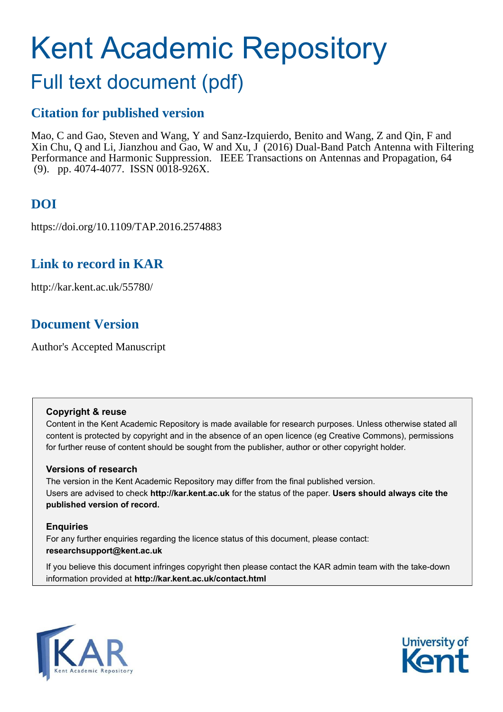# Kent Academic Repository

# Full text document (pdf)

## **Citation for published version**

Mao, C and Gao, Steven and Wang, Y and Sanz-Izquierdo, Benito and Wang, Z and Qin, F and Xin Chu, Q and Li, Jianzhou and Gao, W and Xu,  $\int (2016)$  Dual-Band Patch Antenna with Filtering Performance and Harmonic Suppression. IEEE Transactions on Antennas and Propagation, 64 (9). pp. 4074-4077. ISSN 0018-926X.

# **DOI**

https://doi.org/10.1109/TAP.2016.2574883

## **Link to record in KAR**

http://kar.kent.ac.uk/55780/

# **Document Version**

Author's Accepted Manuscript

#### **Copyright & reuse**

Content in the Kent Academic Repository is made available for research purposes. Unless otherwise stated all content is protected by copyright and in the absence of an open licence (eg Creative Commons), permissions for further reuse of content should be sought from the publisher, author or other copyright holder.

#### **Versions of research**

The version in the Kent Academic Repository may differ from the final published version. Users are advised to check **http://kar.kent.ac.uk** for the status of the paper. **Users should always cite the published version of record.**

#### **Enquiries**

For any further enquiries regarding the licence status of this document, please contact: **researchsupport@kent.ac.uk**

If you believe this document infringes copyright then please contact the KAR admin team with the take-down information provided at **http://kar.kent.ac.uk/contact.html**



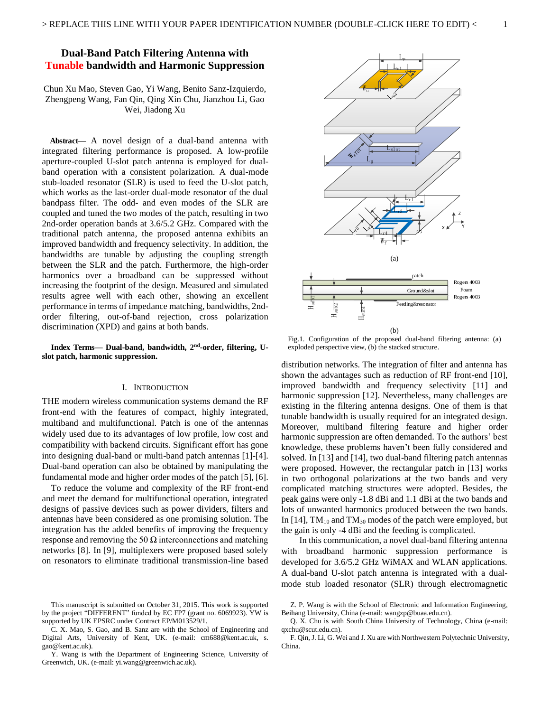#### **Dual-Band Patch Filtering Antenna with Tunable bandwidth and Harmonic Suppression**

Chun Xu Mao, Steven Gao, Yi Wang, Benito Sanz-Izquierdo, Zhengpeng Wang, Fan Qin, Qing Xin Chu, Jianzhou Li, Gao Wei, Jiadong Xu

**Abstract—** A novel design of a dual-band antenna with integrated filtering performance is proposed. A low-profile aperture-coupled U-slot patch antenna is employed for dualband operation with a consistent polarization. A dual-mode stub-loaded resonator (SLR) is used to feed the U-slot patch, which works as the last-order dual-mode resonator of the dual bandpass filter. The odd- and even modes of the SLR are coupled and tuned the two modes of the patch, resulting in two 2nd-order operation bands at 3.6/5.2 GHz. Compared with the traditional patch antenna, the proposed antenna exhibits an improved bandwidth and frequency selectivity. In addition, the bandwidths are tunable by adjusting the coupling strength between the SLR and the patch. Furthermore, the high-order harmonics over a broadband can be suppressed without increasing the footprint of the design. Measured and simulated results agree well with each other, showing an excellent performance in terms of impedance matching, bandwidths, 2ndorder filtering, out-of-band rejection, cross polarization discrimination (XPD) and gains at both bands.

**Index Terms— Dual-band, bandwidth, 2nd-order, filtering, Uslot patch, harmonic suppression.** 

#### I. INTRODUCTION

THE modern wireless communication systems demand the RF front-end with the features of compact, highly integrated, multiband and multifunctional. Patch is one of the antennas widely used due to its advantages of low profile, low cost and compatibility with backend circuits. Significant effort has gone into designing dual-band or multi-band patch antennas [1]-[4]. Dual-band operation can also be obtained by manipulating the fundamental mode and higher order modes of the patch [5], [6].

 To reduce the volume and complexity of the RF front-end and meet the demand for multifunctional operation, integrated designs of passive devices such as power dividers, filters and antennas have been considered as one promising solution. The integration has the added benefits of improving the frequency response and removing the 50  $\Omega$  interconnections and matching networks [8]. In [9], multiplexers were proposed based solely on resonators to eliminate traditional transmission-line based



Fig.1. Configuration of the proposed dual-band filtering antenna: (a) exploded perspective view, (b) the stacked structure.

distribution networks. The integration of filter and antenna has shown the advantages such as reduction of RF front-end [10], improved bandwidth and frequency selectivity [11] and harmonic suppression [12]. Nevertheless, many challenges are existing in the filtering antenna designs. One of them is that tunable bandwidth is usually required for an integrated design. Moreover, multiband filtering feature and higher order harmonic suppression are often demanded. To the authors' best knowledge, these problems haven't been fully considered and solved. In [13] and [14], two dual-band filtering patch antennas were proposed. However, the rectangular patch in [13] works in two orthogonal polarizations at the two bands and very complicated matching structures were adopted. Besides, the peak gains were only -1.8 dBi and 1.1 dBi at the two bands and lots of unwanted harmonics produced between the two bands. In  $[14]$ , TM<sub>10</sub> and TM<sub>30</sub> modes of the patch were employed, but the gain is only -4 dBi and the feeding is complicated.

 In this communication, a novel dual-band filtering antenna with broadband harmonic suppression performance is developed for 3.6/5.2 GHz WiMAX and WLAN applications. A dual-band U-slot patch antenna is integrated with a dualmode stub loaded resonator (SLR) through electromagnetic

This manuscript is submitted on October 31, 2015. This work is supported by the project "DIFFERENT" funded by EC FP7 (grant no. 6069923). YW is supported by UK EPSRC under Contract EP/M013529/1.

C. X. Mao, S. Gao, and B. Sanz are with the School of Engineering and Digital Arts, University of Kent, UK. (e-mail: cm688@kent.ac.uk, s. gao@kent.ac.uk).

Y. Wang is with the Department of Engineering Science, University of Greenwich, UK. (e-mail: yi.wang@greenwich.ac.uk).

Z. P. Wang is with the School of Electronic and Information Engineering, Beihang University, China (e-mail: wangzp@buaa.edu.cn).

Q. X. Chu is with South China University of Technology, China (e-mail: qxchu@scut.edu.cn).

F. Qin, J. Li, G. Wei and J. Xu are with Northwestern Polytechnic University, China.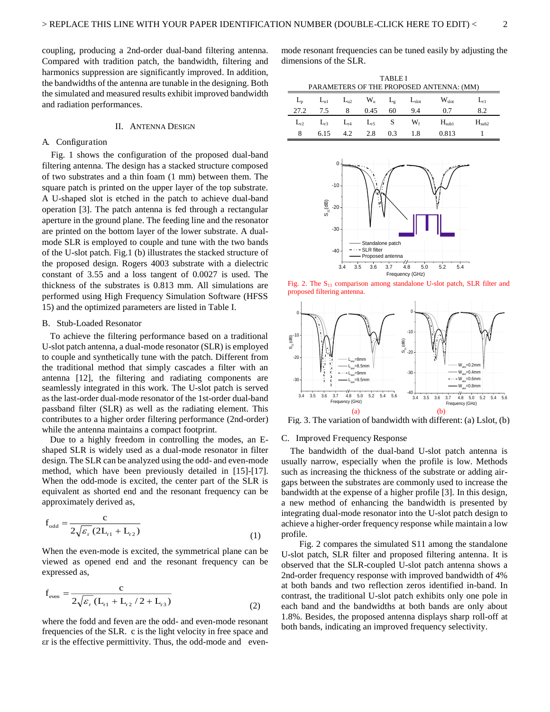coupling, producing a 2nd-order dual-band filtering antenna. Compared with tradition patch, the bandwidth, filtering and harmonics suppression are significantly improved. In addition, the bandwidths of the antenna are tunable in the designing. Both the simulated and measured results exhibit improved bandwidth and radiation performances.

#### II. ANTENNA DESIGN

#### A. Configuration

Fig. 1 shows the configuration of the proposed dual-band filtering antenna. The design has a stacked structure composed of two substrates and a thin foam (1 mm) between them. The square patch is printed on the upper layer of the top substrate. A U-shaped slot is etched in the patch to achieve dual-band operation [3]. The patch antenna is fed through a rectangular aperture in the ground plane. The feeding line and the resonator are printed on the bottom layer of the lower substrate. A dualmode SLR is employed to couple and tune with the two bands of the U-slot patch. Fig.1 (b) illustrates the stacked structure of the proposed design. Rogers 4003 substrate with a dielectric constant of 3.55 and a loss tangent of 0.0027 is used. The thickness of the substrates is 0.813 mm. All simulations are performed using High Frequency Simulation Software (HFSS 15) and the optimized parameters are listed in Table I.

#### B. Stub-Loaded Resonator

To achieve the filtering performance based on a traditional U-slot patch antenna, a dual-mode resonator (SLR) is employed to couple and synthetically tune with the patch. Different from the traditional method that simply cascades a filter with an antenna [12], the filtering and radiating components are seamlessly integrated in this work. The U-slot patch is served as the last-order dual-mode resonator of the 1st-order dual-band passband filter (SLR) as well as the radiating element. This contributes to a higher order filtering performance (2nd-order) while the antenna maintains a compact footprint.

Due to a highly freedom in controlling the modes, an Eshaped SLR is widely used as a dual-mode resonator in filter design. The SLR can be analyzed using the odd- and even-mode method, which have been previously detailed in [15]-[17]. When the odd-mode is excited, the center part of the SLR is equivalent as shorted end and the resonant frequency can be approximately derived as,

$$
f_{odd} = \frac{c}{2\sqrt{\varepsilon_r} (2L_{r1} + L_{r2})}
$$
 (1)

When the even-mode is excited, the symmetrical plane can be viewed as opened end and the resonant frequency can be expressed as,

$$
f_{\text{even}} = \frac{c}{2\sqrt{\varepsilon_r} (L_{r1} + L_{r2}/2 + L_{r3})}
$$
 (2)

where the fodd and feven are the odd- and even-mode resonant frequencies of the SLR. c is the light velocity in free space and er is the effective permittivity. Thus, the odd-mode and evenmode resonant frequencies can be tuned easily by adjusting the dimensions of the SLR.

| <b>TABLE I</b><br>PARAMETERS OF THE PROPOSED ANTENNA: (MM) |              |          |             |              |            |                   |                   |  |  |
|------------------------------------------------------------|--------------|----------|-------------|--------------|------------|-------------------|-------------------|--|--|
| $L_{\rm n}$                                                | $L_{\rm nl}$ | $L_{u2}$ | $W_{\rm u}$ | $L_{\sigma}$ | $L_{slot}$ | $W_{\text{slot}}$ | $L_{r1}$          |  |  |
| 27.2                                                       | 7.5          | 8        | 0.45        | 60           | 9.4        | 0.7               | 8.2               |  |  |
| $L_{r2}$                                                   | $L_{r3}$     | $L_{r4}$ | $L_{r5}$    | S            | $W_{f}$    | $H_{sub1}$        | H <sub>sub2</sub> |  |  |
| 8                                                          | 6.15         | 4.2      | 2.8         | 0.3          | 1.8        | 0.813             |                   |  |  |



Fig. 2. The  $S<sub>11</sub>$  comparison among standalone U-slot patch, SLR filter and proposed filtering antenna.



Fig. 3. The variation of bandwidth with different: (a) Lslot, (b)

#### C. Improved Frequency Response

 The bandwidth of the dual-band U-slot patch antenna is usually narrow, especially when the profile is low. Methods such as increasing the thickness of the substrate or adding airgaps between the substrates are commonly used to increase the bandwidth at the expense of a higher profile [3]. In this design, a new method of enhancing the bandwidth is presented by integrating dual-mode resonator into the U-slot patch design to achieve a higher-order frequency response while maintain a low profile.

 Fig. 2 compares the simulated S11 among the standalone U-slot patch, SLR filter and proposed filtering antenna. It is observed that the SLR-coupled U-slot patch antenna shows a 2nd-order frequency response with improved bandwidth of 4% at both bands and two reflection zeros identified in-band. In contrast, the traditional U-slot patch exhibits only one pole in each band and the bandwidths at both bands are only about 1.8%. Besides, the proposed antenna displays sharp roll-off at both bands, indicating an improved frequency selectivity.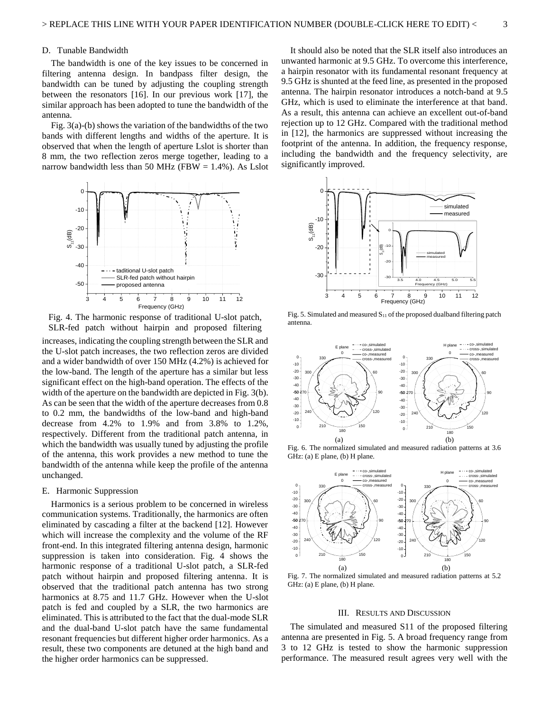#### D. Tunable Bandwidth

 The bandwidth is one of the key issues to be concerned in filtering antenna design. In bandpass filter design, the bandwidth can be tuned by adjusting the coupling strength between the resonators [16]. In our previous work [17], the similar approach has been adopted to tune the bandwidth of the antenna.

 Fig. 3(a)-(b) shows the variation of the bandwidths of the two bands with different lengths and widths of the aperture. It is observed that when the length of aperture Lslot is shorter than 8 mm, the two reflection zeros merge together, leading to a narrow bandwidth less than 50 MHz (FBW =  $1.4\%$ ). As Lslot



Fig. 4. The harmonic response of traditional U-slot patch, SLR-fed patch without hairpin and proposed filtering

increases, indicating the coupling strength between the SLR and the U-slot patch increases, the two reflection zeros are divided and a wider bandwidth of over 150 MHz (4.2%) is achieved for the low-band. The length of the aperture has a similar but less significant effect on the high-band operation. The effects of the width of the aperture on the bandwidth are depicted in Fig. 3(b). As can be seen that the width of the aperture decreases from 0.8 to 0.2 mm, the bandwidths of the low-band and high-band decrease from 4.2% to 1.9% and from 3.8% to 1.2%, respectively. Different from the traditional patch antenna, in which the bandwidth was usually tuned by adjusting the profile of the antenna, this work provides a new method to tune the bandwidth of the antenna while keep the profile of the antenna unchanged.

#### E. Harmonic Suppression

 Harmonics is a serious problem to be concerned in wireless communication systems. Traditionally, the harmonics are often eliminated by cascading a filter at the backend [12]. However which will increase the complexity and the volume of the RF front-end. In this integrated filtering antenna design, harmonic suppression is taken into consideration. Fig. 4 shows the harmonic response of a traditional U-slot patch, a SLR-fed patch without hairpin and proposed filtering antenna. It is observed that the traditional patch antenna has two strong harmonics at 8.75 and 11.7 GHz. However when the U-slot patch is fed and coupled by a SLR, the two harmonics are eliminated. This is attributed to the fact that the dual-mode SLR and the dual-band U-slot patch have the same fundamental resonant frequencies but different higher order harmonics. As a result, these two components are detuned at the high band and the higher order harmonics can be suppressed.

 It should also be noted that the SLR itself also introduces an unwanted harmonic at 9.5 GHz. To overcome this interference, a hairpin resonator with its fundamental resonant frequency at 9.5 GHz is shunted at the feed line, as presented in the proposed antenna. The hairpin resonator introduces a notch-band at 9.5 GHz, which is used to eliminate the interference at that band. As a result, this antenna can achieve an excellent out-of-band rejection up to 12 GHz. Compared with the traditional method in [12], the harmonics are suppressed without increasing the footprint of the antenna. In addition, the frequency response, including the bandwidth and the frequency selectivity, are significantly improved.



Fig. 5. Simulated and measured  $S<sub>11</sub>$  of the proposed dualband filtering patch antenna.



Fig. 6. The normalized simulated and measured radiation patterns at 3.6 GHz: (a) E plane, (b) H plane.



Fig. 7. The normalized simulated and measured radiation patterns at 5.2 GHz: (a) E plane, (b) H plane.

#### III. RESULTS AND DISCUSSION

 The simulated and measured S11 of the proposed filtering antenna are presented in Fig. 5. A broad frequency range from 3 to 12 GHz is tested to show the harmonic suppression performance. The measured result agrees very well with the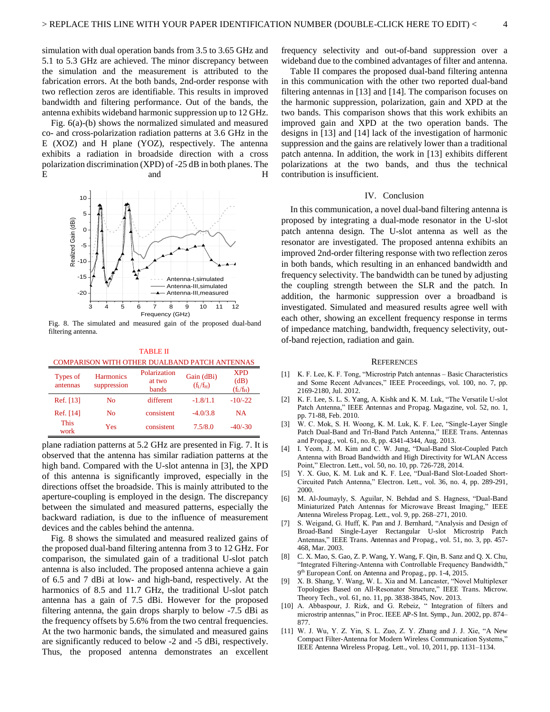simulation with dual operation bands from 3.5 to 3.65 GHz and 5.1 to 5.3 GHz are achieved. The minor discrepancy between the simulation and the measurement is attributed to the fabrication errors. At the both bands, 2nd-order response with two reflection zeros are identifiable. This results in improved bandwidth and filtering performance. Out of the bands, the antenna exhibits wideband harmonic suppression up to 12 GHz.

 Fig. 6(a)-(b) shows the normalized simulated and measured co- and cross-polarization radiation patterns at 3.6 GHz in the E (XOZ) and H plane (YOZ), respectively. The antenna exhibits a radiation in broadside direction with a cross polarization discrimination (XPD) of -25 dB in both planes. The E and H



Fig. 8. The simulated and measured gain of the proposed dual-band filtering antenna.

TABLE II COMPARISON WITH OTHER DUALBAND PATCH ANTENNAS

| Types of<br>antennas | <b>Harmonics</b><br>suppression | Polarization<br>at two<br>bands | Gain (dBi)<br>$(f_L/f_H)$ | <b>XPD</b><br>(dB)<br>$(f_L/f_H)$ |
|----------------------|---------------------------------|---------------------------------|---------------------------|-----------------------------------|
| Ref. [13]            | No                              | different                       | $-1.8/1.1$                | $-10/-22$                         |
| Ref. [14]            | No                              | consistent                      | $-4.0/3.8$                | <b>NA</b>                         |
| <b>This</b><br>work  | Yes                             | consistent                      | 7.5/8.0                   | $-40/-30$                         |

plane radiation patterns at 5.2 GHz are presented in Fig. 7. It is observed that the antenna has similar radiation patterns at the high band. Compared with the U-slot antenna in [3], the XPD of this antenna is significantly improved, especially in the directions offset the broadside. This is mainly attributed to the aperture-coupling is employed in the design. The discrepancy between the simulated and measured patterns, especially the backward radiation, is due to the influence of measurement devices and the cables behind the antenna.

 Fig. 8 shows the simulated and measured realized gains of the proposed dual-band filtering antenna from 3 to 12 GHz. For comparison, the simulated gain of a traditional U-slot patch antenna is also included. The proposed antenna achieve a gain of 6.5 and 7 dBi at low- and high-band, respectively. At the harmonics of 8.5 and 11.7 GHz, the traditional U-slot patch antenna has a gain of 7.5 dBi. However for the proposed filtering antenna, the gain drops sharply to below -7.5 dBi as the frequency offsets by 5.6% from the two central frequencies. At the two harmonic bands, the simulated and measured gains are significantly reduced to below -2 and -5 dBi, respectively. Thus, the proposed antenna demonstrates an excellent

frequency selectivity and out-of-band suppression over a wideband due to the combined advantages of filter and antenna.

 Table II compares the proposed dual-band filtering antenna in this communication with the other two reported dual-band filtering antennas in [13] and [14]. The comparison focuses on the harmonic suppression, polarization, gain and XPD at the two bands. This comparison shows that this work exhibits an improved gain and XPD at the two operation bands. The designs in [13] and [14] lack of the investigation of harmonic suppression and the gains are relatively lower than a traditional patch antenna. In addition, the work in [13] exhibits different polarizations at the two bands, and thus the technical contribution is insufficient.

#### IV. Conclusion

In this communication, a novel dual-band filtering antenna is proposed by integrating a dual-mode resonator in the U-slot patch antenna design. The U-slot antenna as well as the resonator are investigated. The proposed antenna exhibits an improved 2nd-order filtering response with two reflection zeros in both bands, which resulting in an enhanced bandwidth and frequency selectivity. The bandwidth can be tuned by adjusting the coupling strength between the SLR and the patch. In addition, the harmonic suppression over a broadband is investigated. Simulated and measured results agree well with each other, showing an excellent frequency response in terms of impedance matching, bandwidth, frequency selectivity, outof-band rejection, radiation and gain.

#### REFERENCES

- [1] K. F. Lee, K. F. Tong, "Microstrip Patch antennas Basic Characteristics and Some Recent Advances," IEEE Proceedings, vol. 100, no. 7, pp. 2169-2180, Jul. 2012.
- [2] K. F. Lee, S. L. S. Yang, A. Kishk and K. M. Luk, "The Versatile U-slot Patch Antenna," IEEE Antennas and Propag. Magazine, vol. 52, no. 1, pp. 71-88, Feb. 2010.
- [3] W. C. Mok, S. H. Woong, K. M. Luk, K. F. Lee, "Single-Layer Single Patch Dual-Band and Tri-Band Patch Antenna," IEEE Trans. Antennas and Propag., vol. 61, no. 8, pp. 4341-4344, Aug. 2013.
- [4] I. Yeom, J. M. Kim and C. W. Jung, "Dual-Band Slot-Coupled Patch Antenna with Broad Bandwidth and High Directivity for WLAN Access Point," Electron. Lett., vol. 50, no. 10, pp. 726-728, 2014.
- [5] Y. X. Guo, K. M. Luk and K. F. Lee, "Dual-Band Slot-Loaded Short-Circuited Patch Antenna," Electron. Lett., vol. 36, no. 4, pp. 289-291, 2000.
- [6] M. Al-Joumayly, S. Aguilar, N. Behdad and S. Hagness, "Dual-Band Miniaturized Patch Antennas for Microwave Breast Imaging," IEEE Antenna Wireless Propag. Lett., vol. 9, pp. 268–271, 2010.
- [7] S. Weigand, G. Huff, K. Pan and J. Bernhard, "Analysis and Design of Broad-Band Single-Layer Rectangular U-slot Microstrip Patch Antennas," IEEE Trans. Antennas and Propag., vol. 51, no. 3, pp. 457- 468, Mar. 2003.
- [8] C. X. Mao, S. Gao, Z. P. Wang, Y. Wang, F. Qin, B. Sanz and Q. X. Chu, "Integrated Filtering-Antenna with Controllable Frequency Bandwidth,' 9<sup>th</sup> European Conf. on Antenna and Propag., pp. 1-4, 2015.
- [9] X. B. Shang, Y. Wang, W. L. Xia and M. Lancaster, "Novel Multiplexer Topologies Based on All-Resonator Structure," IEEE Trans. Microw. Theory Tech., vol. 61, no. 11, pp. 3838-3845, Nov. 2013.
- [10] A. Abbaspour, J. Rizk, and G. Rebeiz, "Integration of filters and microstrip antennas," in Proc. IEEE AP-S Int. Symp., Jun. 2002, pp. 874– 877.
- [11] W. J. Wu, Y. Z. Yin, S. L. Zuo, Z. Y. Zhang and J. J. Xie, "A New Compact Filter-Antenna for Modern Wireless Communication Systems," IEEE Antenna Wireless Propag. Lett., vol. 10, 2011, pp. 1131–1134.